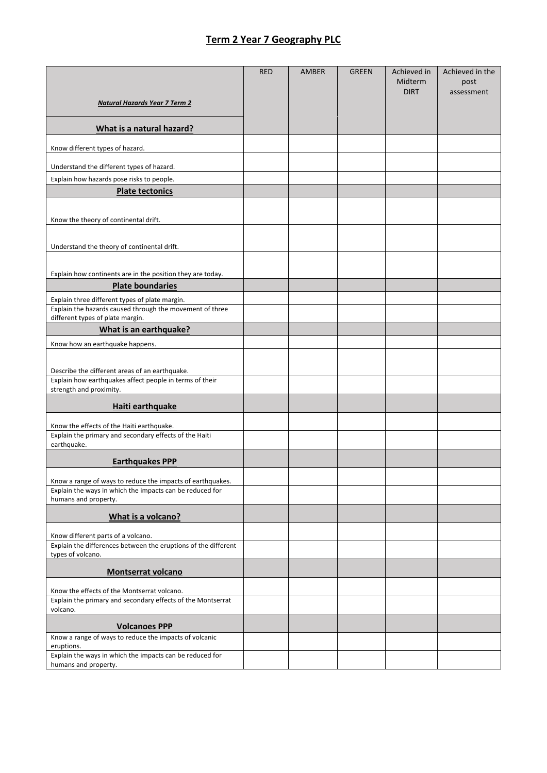## **Term 2 Year 7 Geography PLC**

|                                                                                                            | <b>RED</b> | AMBER | <b>GREEN</b> | Achieved in            | Achieved in the    |
|------------------------------------------------------------------------------------------------------------|------------|-------|--------------|------------------------|--------------------|
|                                                                                                            |            |       |              | Midterm<br><b>DIRT</b> | post<br>assessment |
| <b>Natural Hazards Year 7 Term 2</b>                                                                       |            |       |              |                        |                    |
| What is a natural hazard?                                                                                  |            |       |              |                        |                    |
| Know different types of hazard.                                                                            |            |       |              |                        |                    |
|                                                                                                            |            |       |              |                        |                    |
| Understand the different types of hazard.                                                                  |            |       |              |                        |                    |
| Explain how hazards pose risks to people.<br><b>Plate tectonics</b>                                        |            |       |              |                        |                    |
|                                                                                                            |            |       |              |                        |                    |
| Know the theory of continental drift.                                                                      |            |       |              |                        |                    |
|                                                                                                            |            |       |              |                        |                    |
| Understand the theory of continental drift.                                                                |            |       |              |                        |                    |
|                                                                                                            |            |       |              |                        |                    |
| Explain how continents are in the position they are today.                                                 |            |       |              |                        |                    |
| <b>Plate boundaries</b>                                                                                    |            |       |              |                        |                    |
| Explain three different types of plate margin.<br>Explain the hazards caused through the movement of three |            |       |              |                        |                    |
| different types of plate margin.                                                                           |            |       |              |                        |                    |
| What is an earthquake?                                                                                     |            |       |              |                        |                    |
| Know how an earthquake happens.                                                                            |            |       |              |                        |                    |
|                                                                                                            |            |       |              |                        |                    |
| Describe the different areas of an earthquake.                                                             |            |       |              |                        |                    |
| Explain how earthquakes affect people in terms of their<br>strength and proximity.                         |            |       |              |                        |                    |
| Haiti earthquake                                                                                           |            |       |              |                        |                    |
| Know the effects of the Haiti earthquake.                                                                  |            |       |              |                        |                    |
| Explain the primary and secondary effects of the Haiti                                                     |            |       |              |                        |                    |
| earthquake.                                                                                                |            |       |              |                        |                    |
| <b>Earthquakes PPP</b>                                                                                     |            |       |              |                        |                    |
| Know a range of ways to reduce the impacts of earthquakes.                                                 |            |       |              |                        |                    |
| Explain the ways in which the impacts can be reduced for<br>humans and property.                           |            |       |              |                        |                    |
| What is a volcano?                                                                                         |            |       |              |                        |                    |
| Know different parts of a volcano.                                                                         |            |       |              |                        |                    |
| Explain the differences between the eruptions of the different<br>types of volcano.                        |            |       |              |                        |                    |
| <b>Montserrat volcano</b>                                                                                  |            |       |              |                        |                    |
|                                                                                                            |            |       |              |                        |                    |
| Know the effects of the Montserrat volcano.<br>Explain the primary and secondary effects of the Montserrat |            |       |              |                        |                    |
| volcano.                                                                                                   |            |       |              |                        |                    |
| <b>Volcanoes PPP</b>                                                                                       |            |       |              |                        |                    |
| Know a range of ways to reduce the impacts of volcanic<br>eruptions.                                       |            |       |              |                        |                    |
| Explain the ways in which the impacts can be reduced for                                                   |            |       |              |                        |                    |
| humans and property.                                                                                       |            |       |              |                        |                    |